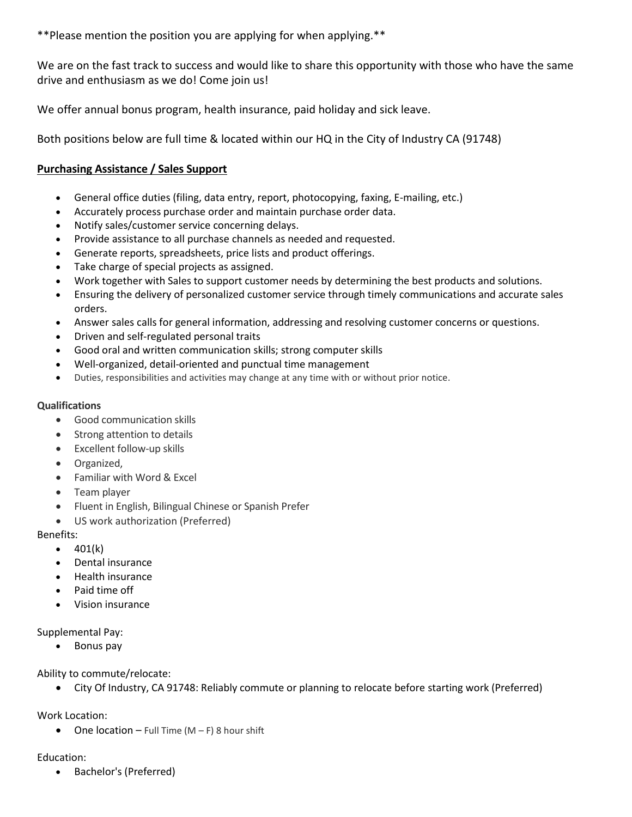\*\*Please mention the position you are applying for when applying.\*\*

We are on the fast track to success and would like to share this opportunity with those who have the same drive and enthusiasm as we do! Come join us!

We offer annual bonus program, health insurance, paid holiday and sick leave.

Both positions below are full time & located within our HQ in the City of Industry CA (91748)

# **Purchasing Assistance / Sales Support**

- General office duties (filing, data entry, report, photocopying, faxing, E-mailing, etc.)
- Accurately process purchase order and maintain purchase order data.
- Notify sales/customer service concerning delays.
- Provide assistance to all purchase channels as needed and requested.
- Generate reports, spreadsheets, price lists and product offerings.
- Take charge of special projects as assigned.
- Work together with Sales to support customer needs by determining the best products and solutions.
- Ensuring the delivery of personalized customer service through timely communications and accurate sales orders.
- Answer sales calls for general information, addressing and resolving customer concerns or questions.
- Driven and self-regulated personal traits
- Good oral and written communication skills; strong computer skills
- Well-organized, detail-oriented and punctual time management
- Duties, responsibilities and activities may change at any time with or without prior notice.

### **Qualifications**

- Good communication skills
- Strong attention to details
- Excellent follow-up skills
- **•** Organized,
- Familiar with Word & Excel
- Team player
- Fluent in English, Bilingual Chinese or Spanish Prefer
- US work authorization (Preferred)

### Benefits:

- $\bullet$  401(k)
- Dental insurance
- **Health insurance**
- Paid time off
- Vision insurance

### Supplemental Pay:

• Bonus pay

Ability to commute/relocate:

City Of Industry, CA 91748: Reliably commute or planning to relocate before starting work (Preferred)

Work Location:

• One location – Full Time  $(M - F)$  8 hour shift

## Education:

• Bachelor's (Preferred)